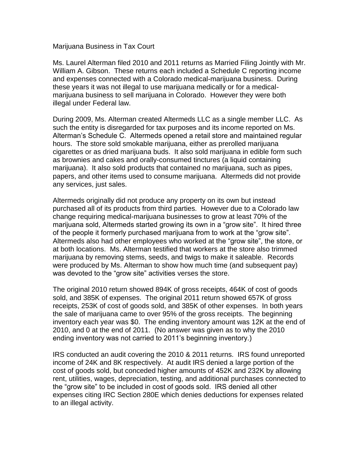## Marijuana Business in Tax Court

Ms. Laurel Alterman filed 2010 and 2011 returns as Married Filing Jointly with Mr. William A. Gibson. These returns each included a Schedule C reporting income and expenses connected with a Colorado medical-marijuana business. During these years it was not illegal to use marijuana medically or for a medicalmarijuana business to sell marijuana in Colorado. However they were both illegal under Federal law.

During 2009, Ms. Alterman created Altermeds LLC as a single member LLC. As such the entity is disregarded for tax purposes and its income reported on Ms. Alterman's Schedule C. Altermeds opened a retail store and maintained regular hours. The store sold smokable marijuana, either as prerolled marijuana cigarettes or as dried marijuana buds. It also sold marijuana in edible form such as brownies and cakes and orally-consumed tinctures (a liquid containing marijuana). It also sold products that contained no marijuana, such as pipes, papers, and other items used to consume marijuana. Altermeds did not provide any services, just sales.

Altermeds originally did not produce any property on its own but instead purchased all of its products from third parties. However due to a Colorado law change requiring medical-marijuana businesses to grow at least 70% of the marijuana sold, Altermeds started growing its own in a "grow site". It hired three of the people it formerly purchased marijuana from to work at the "grow site". Altermeds also had other employees who worked at the "grow site", the store, or at both locations. Ms. Alterman testified that workers at the store also trimmed marijuana by removing stems, seeds, and twigs to make it saleable. Records were produced by Ms. Alterman to show how much time (and subsequent pay) was devoted to the "grow site" activities verses the store.

The original 2010 return showed 894K of gross receipts, 464K of cost of goods sold, and 385K of expenses. The original 2011 return showed 657K of gross receipts, 253K of cost of goods sold, and 385K of other expenses. In both years the sale of marijuana came to over 95% of the gross receipts. The beginning inventory each year was \$0. The ending inventory amount was 12K at the end of 2010, and 0 at the end of 2011. (No answer was given as to why the 2010 ending inventory was not carried to 2011's beginning inventory.)

IRS conducted an audit covering the 2010 & 2011 returns. IRS found unreported income of 24K and 8K respectively. At audit IRS denied a large portion of the cost of goods sold, but conceded higher amounts of 452K and 232K by allowing rent, utilities, wages, depreciation, testing, and additional purchases connected to the "grow site" to be included in cost of goods sold. IRS denied all other expenses citing IRC Section 280E which denies deductions for expenses related to an illegal activity.